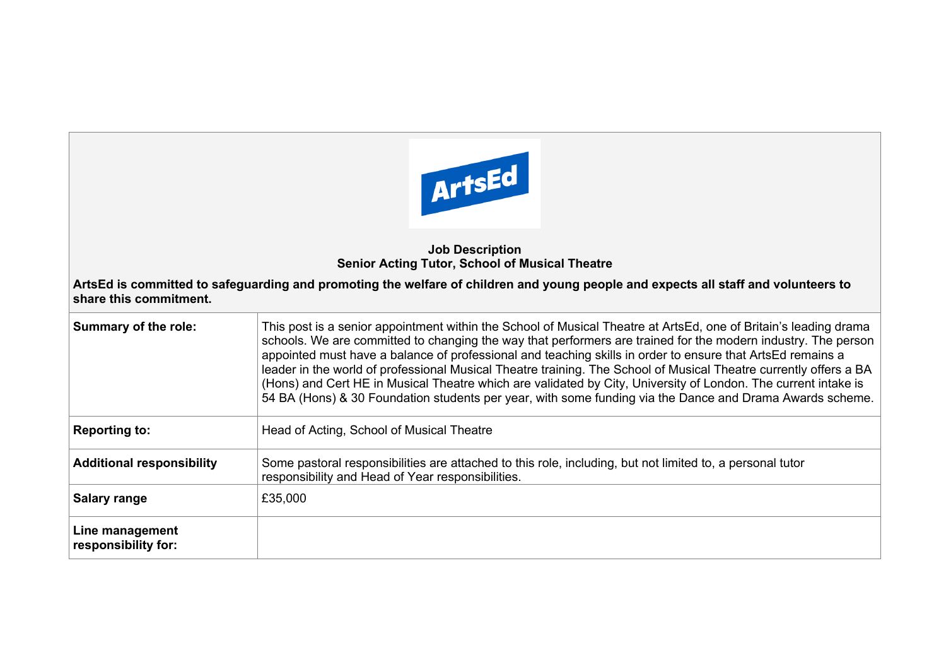

## **Job Description Senior Acting Tutor, School of Musical Theatre**

**ArtsEd is committed to safeguarding and promoting the welfare of children and young people and expects all staff and volunteers to share this commitment.**

| <b>Summary of the role:</b>            | This post is a senior appointment within the School of Musical Theatre at ArtsEd, one of Britain's leading drama<br>schools. We are committed to changing the way that performers are trained for the modern industry. The person<br>appointed must have a balance of professional and teaching skills in order to ensure that ArtsEd remains a<br>leader in the world of professional Musical Theatre training. The School of Musical Theatre currently offers a BA<br>(Hons) and Cert HE in Musical Theatre which are validated by City, University of London. The current intake is<br>54 BA (Hons) & 30 Foundation students per year, with some funding via the Dance and Drama Awards scheme. |
|----------------------------------------|----------------------------------------------------------------------------------------------------------------------------------------------------------------------------------------------------------------------------------------------------------------------------------------------------------------------------------------------------------------------------------------------------------------------------------------------------------------------------------------------------------------------------------------------------------------------------------------------------------------------------------------------------------------------------------------------------|
| <b>Reporting to:</b>                   | Head of Acting, School of Musical Theatre                                                                                                                                                                                                                                                                                                                                                                                                                                                                                                                                                                                                                                                          |
| <b>Additional responsibility</b>       | Some pastoral responsibilities are attached to this role, including, but not limited to, a personal tutor<br>responsibility and Head of Year responsibilities.                                                                                                                                                                                                                                                                                                                                                                                                                                                                                                                                     |
| <b>Salary range</b>                    | £35,000                                                                                                                                                                                                                                                                                                                                                                                                                                                                                                                                                                                                                                                                                            |
| Line management<br>responsibility for: |                                                                                                                                                                                                                                                                                                                                                                                                                                                                                                                                                                                                                                                                                                    |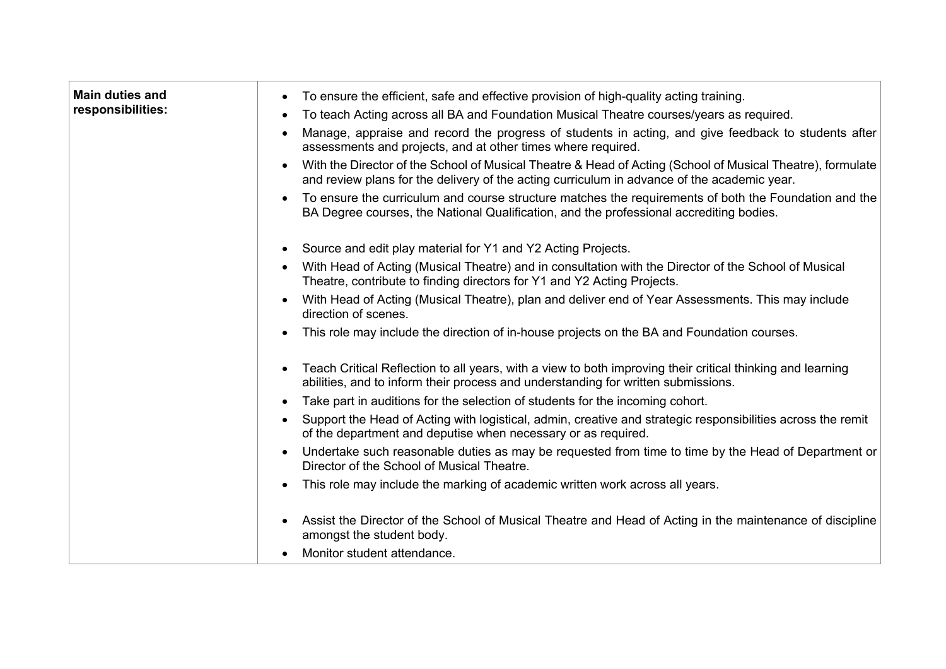| <b>Main duties and</b><br>responsibilities: | To ensure the efficient, safe and effective provision of high-quality acting training.<br>To teach Acting across all BA and Foundation Musical Theatre courses/years as required.<br>Manage, appraise and record the progress of students in acting, and give feedback to students after<br>assessments and projects, and at other times where required.<br>With the Director of the School of Musical Theatre & Head of Acting (School of Musical Theatre), formulate<br>and review plans for the delivery of the acting curriculum in advance of the academic year.<br>To ensure the curriculum and course structure matches the requirements of both the Foundation and the<br>BA Degree courses, the National Qualification, and the professional accrediting bodies. |
|---------------------------------------------|---------------------------------------------------------------------------------------------------------------------------------------------------------------------------------------------------------------------------------------------------------------------------------------------------------------------------------------------------------------------------------------------------------------------------------------------------------------------------------------------------------------------------------------------------------------------------------------------------------------------------------------------------------------------------------------------------------------------------------------------------------------------------|
|                                             | Source and edit play material for Y1 and Y2 Acting Projects.<br>$\bullet$                                                                                                                                                                                                                                                                                                                                                                                                                                                                                                                                                                                                                                                                                                 |
|                                             | With Head of Acting (Musical Theatre) and in consultation with the Director of the School of Musical<br>Theatre, contribute to finding directors for Y1 and Y2 Acting Projects.                                                                                                                                                                                                                                                                                                                                                                                                                                                                                                                                                                                           |
|                                             | With Head of Acting (Musical Theatre), plan and deliver end of Year Assessments. This may include<br>direction of scenes.                                                                                                                                                                                                                                                                                                                                                                                                                                                                                                                                                                                                                                                 |
|                                             | This role may include the direction of in-house projects on the BA and Foundation courses.                                                                                                                                                                                                                                                                                                                                                                                                                                                                                                                                                                                                                                                                                |
|                                             | Teach Critical Reflection to all years, with a view to both improving their critical thinking and learning<br>abilities, and to inform their process and understanding for written submissions.                                                                                                                                                                                                                                                                                                                                                                                                                                                                                                                                                                           |
|                                             | Take part in auditions for the selection of students for the incoming cohort.                                                                                                                                                                                                                                                                                                                                                                                                                                                                                                                                                                                                                                                                                             |
|                                             | Support the Head of Acting with logistical, admin, creative and strategic responsibilities across the remit<br>of the department and deputise when necessary or as required.                                                                                                                                                                                                                                                                                                                                                                                                                                                                                                                                                                                              |
|                                             | Undertake such reasonable duties as may be requested from time to time by the Head of Department or<br>Director of the School of Musical Theatre.                                                                                                                                                                                                                                                                                                                                                                                                                                                                                                                                                                                                                         |
|                                             | This role may include the marking of academic written work across all years.                                                                                                                                                                                                                                                                                                                                                                                                                                                                                                                                                                                                                                                                                              |
|                                             | Assist the Director of the School of Musical Theatre and Head of Acting in the maintenance of discipline<br>amongst the student body.                                                                                                                                                                                                                                                                                                                                                                                                                                                                                                                                                                                                                                     |
|                                             | Monitor student attendance.                                                                                                                                                                                                                                                                                                                                                                                                                                                                                                                                                                                                                                                                                                                                               |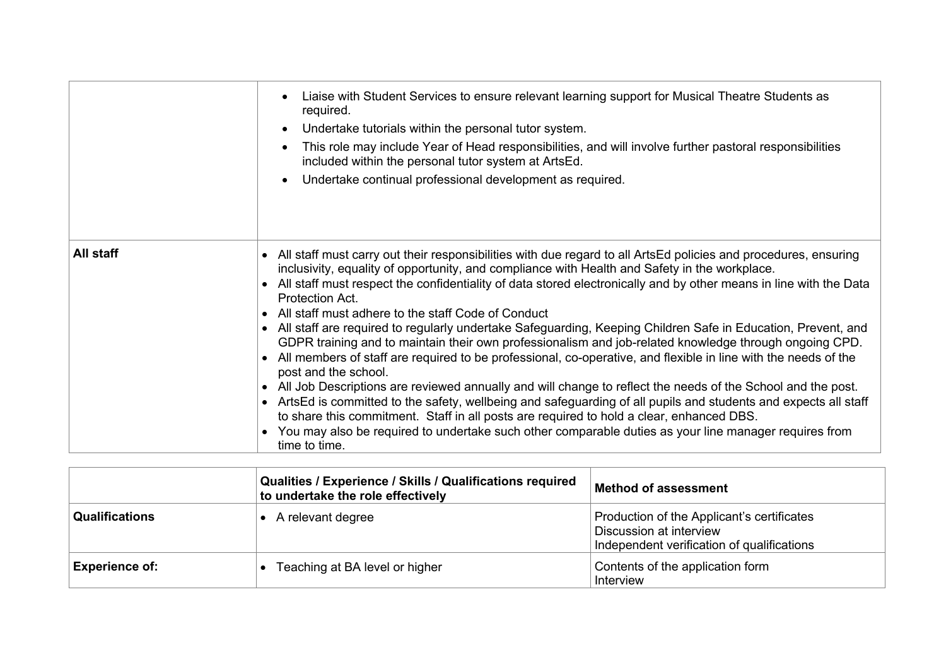|           | Liaise with Student Services to ensure relevant learning support for Musical Theatre Students as<br>required.<br>Undertake tutorials within the personal tutor system.<br>This role may include Year of Head responsibilities, and will involve further pastoral responsibilities<br>included within the personal tutor system at ArtsEd.<br>Undertake continual professional development as required.                                                                                                                                                                                                                                                                                                                                                                                                                                                                                                                                                                                                                                                                                                                                                                                                                                                |
|-----------|-------------------------------------------------------------------------------------------------------------------------------------------------------------------------------------------------------------------------------------------------------------------------------------------------------------------------------------------------------------------------------------------------------------------------------------------------------------------------------------------------------------------------------------------------------------------------------------------------------------------------------------------------------------------------------------------------------------------------------------------------------------------------------------------------------------------------------------------------------------------------------------------------------------------------------------------------------------------------------------------------------------------------------------------------------------------------------------------------------------------------------------------------------------------------------------------------------------------------------------------------------|
| All staff | • All staff must carry out their responsibilities with due regard to all ArtsEd policies and procedures, ensuring<br>inclusivity, equality of opportunity, and compliance with Health and Safety in the workplace.<br>• All staff must respect the confidentiality of data stored electronically and by other means in line with the Data<br>Protection Act.<br>• All staff must adhere to the staff Code of Conduct<br>• All staff are required to regularly undertake Safeguarding, Keeping Children Safe in Education, Prevent, and<br>GDPR training and to maintain their own professionalism and job-related knowledge through ongoing CPD.<br>• All members of staff are required to be professional, co-operative, and flexible in line with the needs of the<br>post and the school.<br>• All Job Descriptions are reviewed annually and will change to reflect the needs of the School and the post.<br>ArtsEd is committed to the safety, wellbeing and safeguarding of all pupils and students and expects all staff<br>to share this commitment. Staff in all posts are required to hold a clear, enhanced DBS.<br>You may also be required to undertake such other comparable duties as your line manager requires from<br>time to time. |

|                       | Qualities / Experience / Skills / Qualifications required<br>to undertake the role effectively | <b>Method of assessment</b>                                                                                         |
|-----------------------|------------------------------------------------------------------------------------------------|---------------------------------------------------------------------------------------------------------------------|
| <b>Qualifications</b> | A relevant degree                                                                              | Production of the Applicant's certificates<br>Discussion at interview<br>Independent verification of qualifications |
| <b>Experience of:</b> | • Teaching at BA level or higher                                                               | Contents of the application form<br>Interview                                                                       |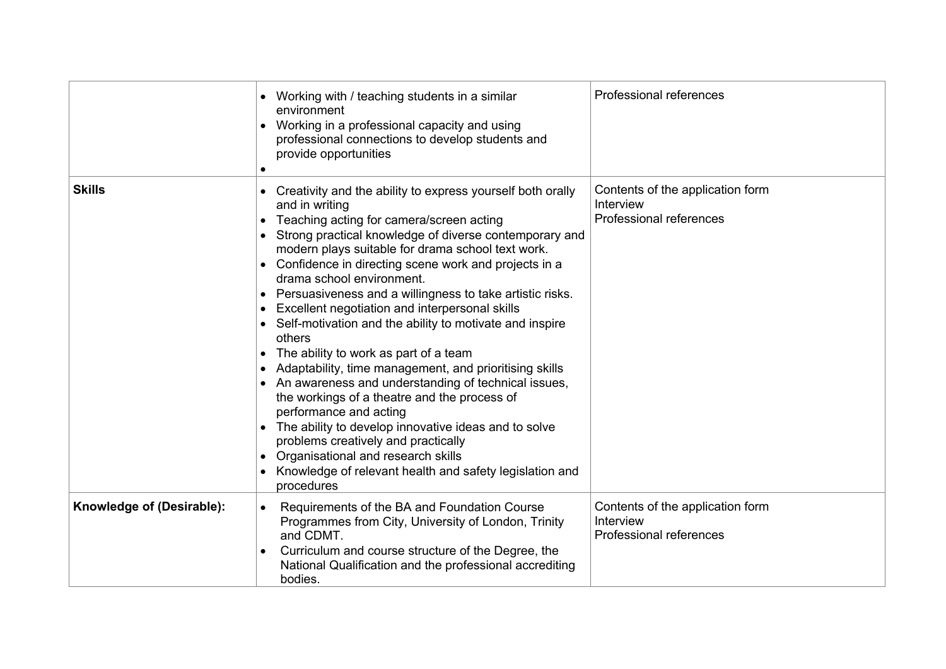|                           | Working with / teaching students in a similar<br>environment<br>Working in a professional capacity and using<br>professional connections to develop students and<br>provide opportunities                                                                                                                                                                                                                                                                                                                                                                                                                                                                                                                                                                                                                                                                                                                                                                         | Professional references                                                  |
|---------------------------|-------------------------------------------------------------------------------------------------------------------------------------------------------------------------------------------------------------------------------------------------------------------------------------------------------------------------------------------------------------------------------------------------------------------------------------------------------------------------------------------------------------------------------------------------------------------------------------------------------------------------------------------------------------------------------------------------------------------------------------------------------------------------------------------------------------------------------------------------------------------------------------------------------------------------------------------------------------------|--------------------------------------------------------------------------|
| <b>Skills</b>             | Creativity and the ability to express yourself both orally<br>and in writing<br>Teaching acting for camera/screen acting<br>Strong practical knowledge of diverse contemporary and<br>modern plays suitable for drama school text work.<br>Confidence in directing scene work and projects in a<br>drama school environment.<br>Persuasiveness and a willingness to take artistic risks.<br>Excellent negotiation and interpersonal skills<br>Self-motivation and the ability to motivate and inspire<br>others<br>The ability to work as part of a team<br>Adaptability, time management, and prioritising skills<br>An awareness and understanding of technical issues,<br>the workings of a theatre and the process of<br>performance and acting<br>The ability to develop innovative ideas and to solve<br>problems creatively and practically<br>Organisational and research skills<br>Knowledge of relevant health and safety legislation and<br>procedures | Contents of the application form<br>Interview<br>Professional references |
| Knowledge of (Desirable): | Requirements of the BA and Foundation Course<br>Programmes from City, University of London, Trinity<br>and CDMT.<br>Curriculum and course structure of the Degree, the<br>National Qualification and the professional accrediting<br>bodies.                                                                                                                                                                                                                                                                                                                                                                                                                                                                                                                                                                                                                                                                                                                      | Contents of the application form<br>Interview<br>Professional references |